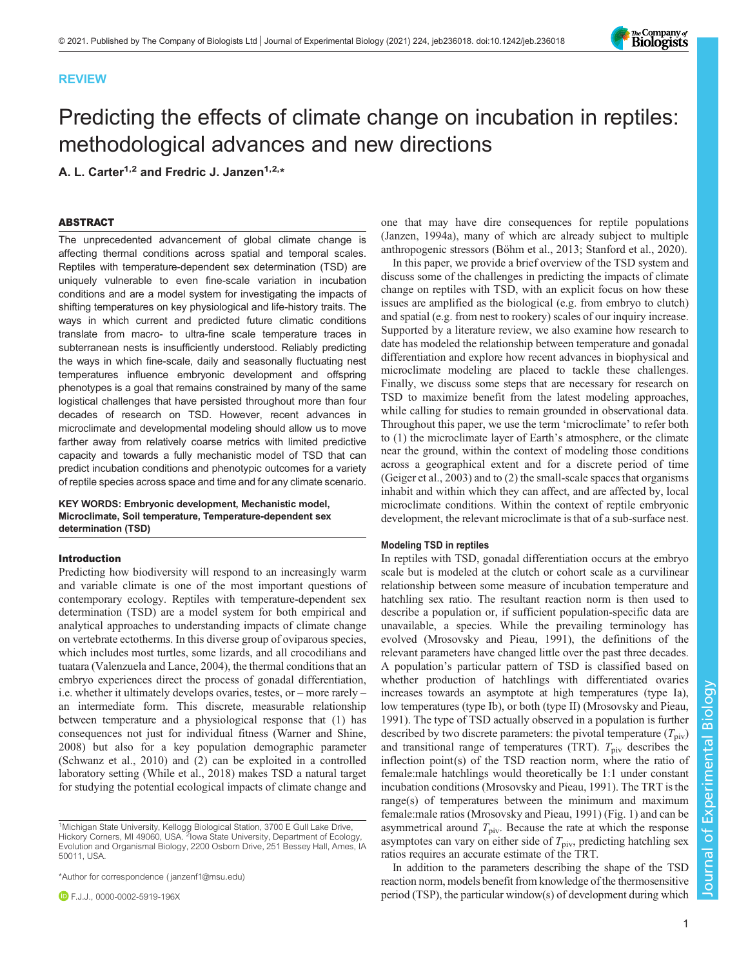# REVIEW

# Predicting the effects of climate change on incubation in reptiles: methodological advances and new directions

A. L. Carter<sup>1,2</sup> and Fredric J. Janzen<sup>1,2,\*</sup>

# ABSTRACT

The unprecedented advancement of global climate change is affecting thermal conditions across spatial and temporal scales. Reptiles with temperature-dependent sex determination (TSD) are uniquely vulnerable to even fine-scale variation in incubation conditions and are a model system for investigating the impacts of shifting temperatures on key physiological and life-history traits. The ways in which current and predicted future climatic conditions translate from macro- to ultra-fine scale temperature traces in subterranean nests is insufficiently understood. Reliably predicting the ways in which fine-scale, daily and seasonally fluctuating nest temperatures influence embryonic development and offspring phenotypes is a goal that remains constrained by many of the same logistical challenges that have persisted throughout more than four decades of research on TSD. However, recent advances in microclimate and developmental modeling should allow us to move farther away from relatively coarse metrics with limited predictive capacity and towards a fully mechanistic model of TSD that can predict incubation conditions and phenotypic outcomes for a variety of reptile species across space and time and for any climate scenario.

KEY WORDS: Embryonic development, Mechanistic model, Microclimate, Soil temperature, Temperature-dependent sex determination (TSD)

## Introduction

Predicting how biodiversity will respond to an increasingly warm and variable climate is one of the most important questions of contemporary ecology. Reptiles with temperature-dependent sex determination (TSD) are a model system for both empirical and analytical approaches to understanding impacts of climate change on vertebrate ectotherms. In this diverse group of oviparous species, which includes most turtles, some lizards, and all crocodilians and tuatara ([Valenzuela and Lance, 2004\)](#page-9-0), the thermal conditions that an embryo experiences direct the process of gonadal differentiation, i.e. whether it ultimately develops ovaries, testes, or – more rarely – an intermediate form. This discrete, measurable relationship between temperature and a physiological response that (1) has consequences not just for individual fitness ([Warner and Shine,](#page-9-0) [2008](#page-9-0)) but also for a key population demographic parameter [\(Schwanz et al., 2010](#page-9-0)) and (2) can be exploited in a controlled laboratory setting [\(While et al., 2018](#page-9-0)) makes TSD a natural target for studying the potential ecological impacts of climate change and

\*Author for correspondence [\( janzenf1@msu.edu](mailto:janzenf1@msu.edu))

one that may have dire consequences for reptile populations [\(Janzen, 1994a](#page-8-0)), many of which are already subject to multiple anthropogenic stressors [\(Böhm et al., 2013;](#page-8-0) [Stanford et al., 2020](#page-9-0)).

In this paper, we provide a brief overview of the TSD system and discuss some of the challenges in predicting the impacts of climate change on reptiles with TSD, with an explicit focus on how these issues are amplified as the biological (e.g. from embryo to clutch) and spatial (e.g. from nest to rookery) scales of our inquiry increase. Supported by a literature review, we also examine how research to date has modeled the relationship between temperature and gonadal differentiation and explore how recent advances in biophysical and microclimate modeling are placed to tackle these challenges. Finally, we discuss some steps that are necessary for research on TSD to maximize benefit from the latest modeling approaches, while calling for studies to remain grounded in observational data. Throughout this paper, we use the term 'microclimate' to refer both to (1) the microclimate layer of Earth's atmosphere, or the climate near the ground, within the context of modeling those conditions across a geographical extent and for a discrete period of time [\(Geiger et al., 2003](#page-8-0)) and to (2) the small-scale spaces that organisms inhabit and within which they can affect, and are affected by, local microclimate conditions. Within the context of reptile embryonic development, the relevant microclimate is that of a sub-surface nest.

## Modeling TSD in reptiles

In reptiles with TSD, gonadal differentiation occurs at the embryo scale but is modeled at the clutch or cohort scale as a curvilinear relationship between some measure of incubation temperature and hatchling sex ratio. The resultant reaction norm is then used to describe a population or, if sufficient population-specific data are unavailable, a species. While the prevailing terminology has evolved [\(Mrosovsky and Pieau, 1991](#page-9-0)), the definitions of the relevant parameters have changed little over the past three decades. A population's particular pattern of TSD is classified based on whether production of hatchlings with differentiated ovaries increases towards an asymptote at high temperatures (type Ia), low temperatures (type Ib), or both (type II) ([Mrosovsky and Pieau,](#page-9-0) [1991\)](#page-9-0). The type of TSD actually observed in a population is further described by two discrete parameters: the pivotal temperature  $(T_{\text{piv}})$ and transitional range of temperatures (TRT).  $T_{\text{piv}}$  describes the inflection point(s) of the TSD reaction norm, where the ratio of female:male hatchlings would theoretically be 1:1 under constant incubation conditions ([Mrosovsky and Pieau, 1991](#page-9-0)). The TRT is the range(s) of temperatures between the minimum and maximum female:male ratios ([Mrosovsky and Pieau, 1991\)](#page-9-0) ([Fig. 1](#page-1-0)) and can be asymmetrical around  $T_{\text{piv}}$ . Because the rate at which the response asymptotes can vary on either side of  $T_{\text{piv}}$ , predicting hatchling sex ratios requires an accurate estimate of the TRT.

In addition to the parameters describing the shape of the TSD reaction norm, models benefit from knowledge of the thermosensitive period (TSP), the particular window(s) of development during which



<sup>&</sup>lt;sup>1</sup>Michigan State University, Kellogg Biological Station, 3700 E Gull Lake Drive,<br>Hickory Corners, MI 49060, USA. <sup>2</sup>lowa State University, Department of Ecology, Evolution and Organismal Biology, 2200 Osborn Drive, 251 Bessey Hall, Ames, IA 50011, USA.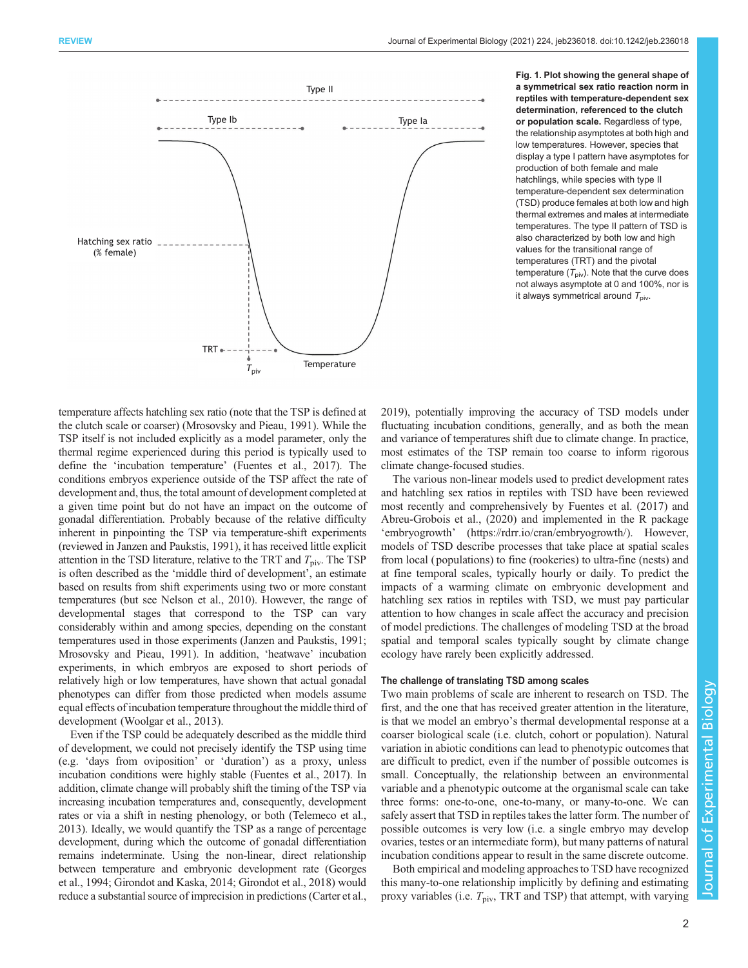<span id="page-1-0"></span>

Fig. 1. Plot showing the general shape of a symmetrical sex ratio reaction norm in reptiles with temperature-dependent sex determination, referenced to the clutch or population scale. Regardless of type, the relationship asymptotes at both high and low temperatures. However, species that display a type I pattern have asymptotes for production of both female and male hatchlings, while species with type II temperature-dependent sex determination (TSD) produce females at both low and high thermal extremes and males at intermediate temperatures. The type II pattern of TSD is also characterized by both low and high values for the transitional range of temperatures (TRT) and the pivotal temperature  $(T_{\text{piv}})$ . Note that the curve does not always asymptote at 0 and 100%, nor is it always symmetrical around  $T_{\text{piv}}$ .

temperature affects hatchling sex ratio (note that the TSP is defined at the clutch scale or coarser) [\(Mrosovsky and Pieau, 1991\)](#page-9-0). While the TSP itself is not included explicitly as a model parameter, only the thermal regime experienced during this period is typically used to define the 'incubation temperature' [\(Fuentes et al., 2017\)](#page-8-0). The conditions embryos experience outside of the TSP affect the rate of development and, thus, the total amount of development completed at a given time point but do not have an impact on the outcome of gonadal differentiation. Probably because of the relative difficulty inherent in pinpointing the TSP via temperature-shift experiments (reviewed in [Janzen and Paukstis, 1991](#page-8-0)), it has received little explicit attention in the TSD literature, relative to the TRT and  $T_{\text{piv}}$ . The TSP is often described as the 'middle third of development', an estimate based on results from shift experiments using two or more constant temperatures (but see [Nelson et al., 2010](#page-9-0)). However, the range of developmental stages that correspond to the TSP can vary considerably within and among species, depending on the constant temperatures used in those experiments ([Janzen and Paukstis, 1991](#page-8-0); [Mrosovsky and Pieau, 1991\)](#page-9-0). In addition, 'heatwave' incubation experiments, in which embryos are exposed to short periods of relatively high or low temperatures, have shown that actual gonadal phenotypes can differ from those predicted when models assume equal effects of incubation temperature throughout the middle third of development ([Woolgar et al., 2013\)](#page-9-0).

Even if the TSP could be adequately described as the middle third of development, we could not precisely identify the TSP using time (e.g. 'days from oviposition' or 'duration') as a proxy, unless incubation conditions were highly stable [\(Fuentes et al., 2017](#page-8-0)). In addition, climate change will probably shift the timing of the TSP via increasing incubation temperatures and, consequently, development rates or via a shift in nesting phenology, or both ([Telemeco et al.,](#page-9-0) [2013\)](#page-9-0). Ideally, we would quantify the TSP as a range of percentage development, during which the outcome of gonadal differentiation remains indeterminate. Using the non-linear, direct relationship between temperature and embryonic development rate [\(Georges](#page-8-0) [et al., 1994; Girondot and Kaska, 2014; Girondot et al., 2018\)](#page-8-0) would reduce a substantial source of imprecision in predictions ([Carter et al.,](#page-8-0)

[2019\)](#page-8-0), potentially improving the accuracy of TSD models under fluctuating incubation conditions, generally, and as both the mean and variance of temperatures shift due to climate change. In practice, most estimates of the TSP remain too coarse to inform rigorous climate change-focused studies.

The various non-linear models used to predict development rates and hatchling sex ratios in reptiles with TSD have been reviewed most recently and comprehensively by [Fuentes et al. \(2017\)](#page-8-0) and Abreu-Grobois et al., (2020) and implemented in the R package 'embryogrowth' [\(https://rdrr.io/cran/embryogrowth/\)](https://rdrr.io/cran/embryogrowth/). However, models of TSD describe processes that take place at spatial scales from local ( populations) to fine (rookeries) to ultra-fine (nests) and at fine temporal scales, typically hourly or daily. To predict the impacts of a warming climate on embryonic development and hatchling sex ratios in reptiles with TSD, we must pay particular attention to how changes in scale affect the accuracy and precision of model predictions. The challenges of modeling TSD at the broad spatial and temporal scales typically sought by climate change ecology have rarely been explicitly addressed.

# The challenge of translating TSD among scales

Two main problems of scale are inherent to research on TSD. The first, and the one that has received greater attention in the literature, is that we model an embryo's thermal developmental response at a coarser biological scale (i.e. clutch, cohort or population). Natural variation in abiotic conditions can lead to phenotypic outcomes that are difficult to predict, even if the number of possible outcomes is small. Conceptually, the relationship between an environmental variable and a phenotypic outcome at the organismal scale can take three forms: one-to-one, one-to-many, or many-to-one. We can safely assert that TSD in reptiles takes the latter form. The number of possible outcomes is very low (i.e. a single embryo may develop ovaries, testes or an intermediate form), but many patterns of natural incubation conditions appear to result in the same discrete outcome.

Both empirical and modeling approaches to TSD have recognized this many-to-one relationship implicitly by defining and estimating proxy variables (i.e.  $T_{\text{piv}}$ , TRT and TSP) that attempt, with varying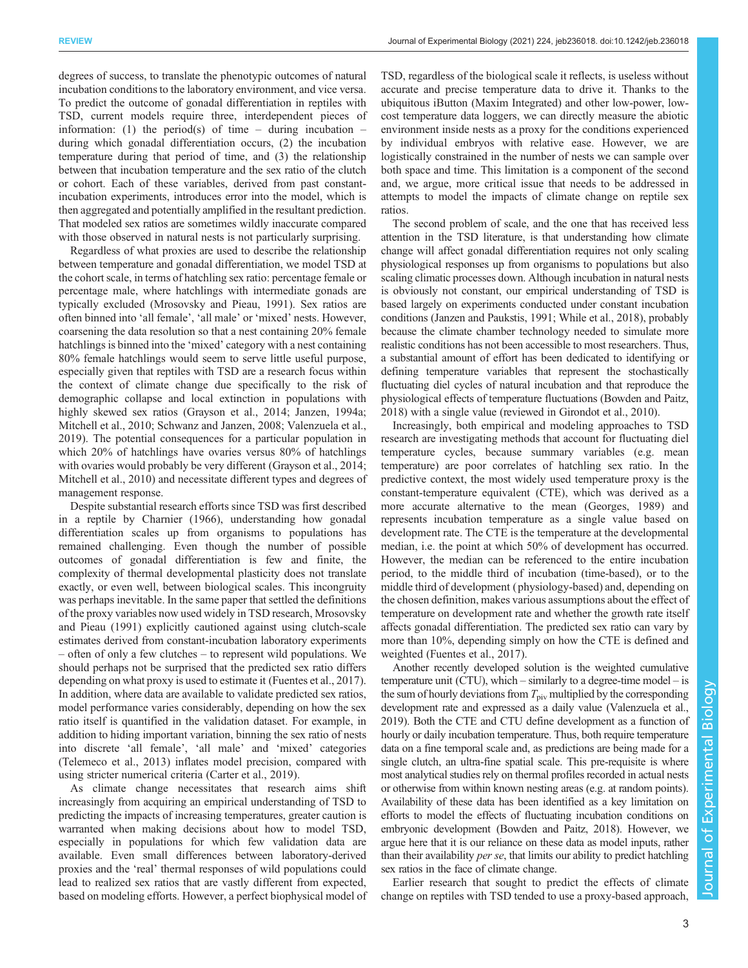degrees of success, to translate the phenotypic outcomes of natural incubation conditions to the laboratory environment, and vice versa. To predict the outcome of gonadal differentiation in reptiles with TSD, current models require three, interdependent pieces of information: (1) the period(s) of time  $-$  during incubation  $$ during which gonadal differentiation occurs, (2) the incubation temperature during that period of time, and (3) the relationship between that incubation temperature and the sex ratio of the clutch or cohort. Each of these variables, derived from past constantincubation experiments, introduces error into the model, which is then aggregated and potentially amplified in the resultant prediction. That modeled sex ratios are sometimes wildly inaccurate compared with those observed in natural nests is not particularly surprising.

Regardless of what proxies are used to describe the relationship between temperature and gonadal differentiation, we model TSD at the cohort scale, in terms of hatchling sex ratio: percentage female or percentage male, where hatchlings with intermediate gonads are typically excluded ([Mrosovsky and Pieau, 1991](#page-9-0)). Sex ratios are often binned into 'all female', 'all male' or 'mixed' nests. However, coarsening the data resolution so that a nest containing 20% female hatchlings is binned into the 'mixed' category with a nest containing 80% female hatchlings would seem to serve little useful purpose, especially given that reptiles with TSD are a research focus within the context of climate change due specifically to the risk of demographic collapse and local extinction in populations with highly skewed sex ratios [\(Grayson et al., 2014; Janzen, 1994a](#page-8-0); [Mitchell et al., 2010; Schwanz and Janzen, 2008](#page-9-0); [Valenzuela et al.,](#page-9-0) [2019](#page-9-0)). The potential consequences for a particular population in which 20% of hatchlings have ovaries versus 80% of hatchlings with ovaries would probably be very different [\(Grayson et al., 2014](#page-8-0); [Mitchell et al., 2010](#page-9-0)) and necessitate different types and degrees of management response.

Despite substantial research efforts since TSD was first described in a reptile by [Charnier \(1966\)](#page-8-0), understanding how gonadal differentiation scales up from organisms to populations has remained challenging. Even though the number of possible outcomes of gonadal differentiation is few and finite, the complexity of thermal developmental plasticity does not translate exactly, or even well, between biological scales. This incongruity was perhaps inevitable. In the same paper that settled the definitions of the proxy variables now used widely in TSD research, [Mrosovsky](#page-9-0) [and Pieau \(1991\)](#page-9-0) explicitly cautioned against using clutch-scale estimates derived from constant-incubation laboratory experiments – often of only a few clutches – to represent wild populations. We should perhaps not be surprised that the predicted sex ratio differs depending on what proxy is used to estimate it ([Fuentes et al., 2017\)](#page-8-0). In addition, where data are available to validate predicted sex ratios, model performance varies considerably, depending on how the sex ratio itself is quantified in the validation dataset. For example, in addition to hiding important variation, binning the sex ratio of nests into discrete 'all female', 'all male' and 'mixed' categories [\(Telemeco et al., 2013](#page-9-0)) inflates model precision, compared with using stricter numerical criteria ([Carter et al., 2019](#page-8-0)).

As climate change necessitates that research aims shift increasingly from acquiring an empirical understanding of TSD to predicting the impacts of increasing temperatures, greater caution is warranted when making decisions about how to model TSD, especially in populations for which few validation data are available. Even small differences between laboratory-derived proxies and the 'real' thermal responses of wild populations could lead to realized sex ratios that are vastly different from expected, based on modeling efforts. However, a perfect biophysical model of TSD, regardless of the biological scale it reflects, is useless without accurate and precise temperature data to drive it. Thanks to the ubiquitous iButton (Maxim Integrated) and other low-power, lowcost temperature data loggers, we can directly measure the abiotic environment inside nests as a proxy for the conditions experienced by individual embryos with relative ease. However, we are logistically constrained in the number of nests we can sample over both space and time. This limitation is a component of the second and, we argue, more critical issue that needs to be addressed in attempts to model the impacts of climate change on reptile sex ratios.

The second problem of scale, and the one that has received less attention in the TSD literature, is that understanding how climate change will affect gonadal differentiation requires not only scaling physiological responses up from organisms to populations but also scaling climatic processes down. Although incubation in natural nests is obviously not constant, our empirical understanding of TSD is based largely on experiments conducted under constant incubation conditions ([Janzen and Paukstis, 1991;](#page-8-0) [While et al., 2018\)](#page-9-0), probably because the climate chamber technology needed to simulate more realistic conditions has not been accessible to most researchers. Thus, a substantial amount of effort has been dedicated to identifying or defining temperature variables that represent the stochastically fluctuating diel cycles of natural incubation and that reproduce the physiological effects of temperature fluctuations ([Bowden and Paitz,](#page-8-0) [2018\)](#page-8-0) with a single value (reviewed in [Girondot et al., 2010](#page-8-0)).

Increasingly, both empirical and modeling approaches to TSD research are investigating methods that account for fluctuating diel temperature cycles, because summary variables (e.g. mean temperature) are poor correlates of hatchling sex ratio. In the predictive context, the most widely used temperature proxy is the constant-temperature equivalent (CTE), which was derived as a more accurate alternative to the mean ([Georges, 1989\)](#page-8-0) and represents incubation temperature as a single value based on development rate. The CTE is the temperature at the developmental median, i.e. the point at which 50% of development has occurred. However, the median can be referenced to the entire incubation period, to the middle third of incubation (time-based), or to the middle third of development ( physiology-based) and, depending on the chosen definition, makes various assumptions about the effect of temperature on development rate and whether the growth rate itself affects gonadal differentiation. The predicted sex ratio can vary by more than 10%, depending simply on how the CTE is defined and weighted [\(Fuentes et al., 2017\)](#page-8-0).

Another recently developed solution is the weighted cumulative temperature unit (CTU), which – similarly to a degree-time model – is the sum of hourly deviations from  $T_{\text{piv}}$  multiplied by the corresponding development rate and expressed as a daily value [\(Valenzuela et al.,](#page-9-0) [2019](#page-9-0)). Both the CTE and CTU define development as a function of hourly or daily incubation temperature. Thus, both require temperature data on a fine temporal scale and, as predictions are being made for a single clutch, an ultra-fine spatial scale. This pre-requisite is where most analytical studies rely on thermal profiles recorded in actual nests or otherwise from within known nesting areas (e.g. at random points). Availability of these data has been identified as a key limitation on efforts to model the effects of fluctuating incubation conditions on embryonic development [\(Bowden and Paitz, 2018](#page-8-0)). However, we argue here that it is our reliance on these data as model inputs, rather than their availability per se, that limits our ability to predict hatchling sex ratios in the face of climate change.

Earlier research that sought to predict the effects of climate change on reptiles with TSD tended to use a proxy-based approach,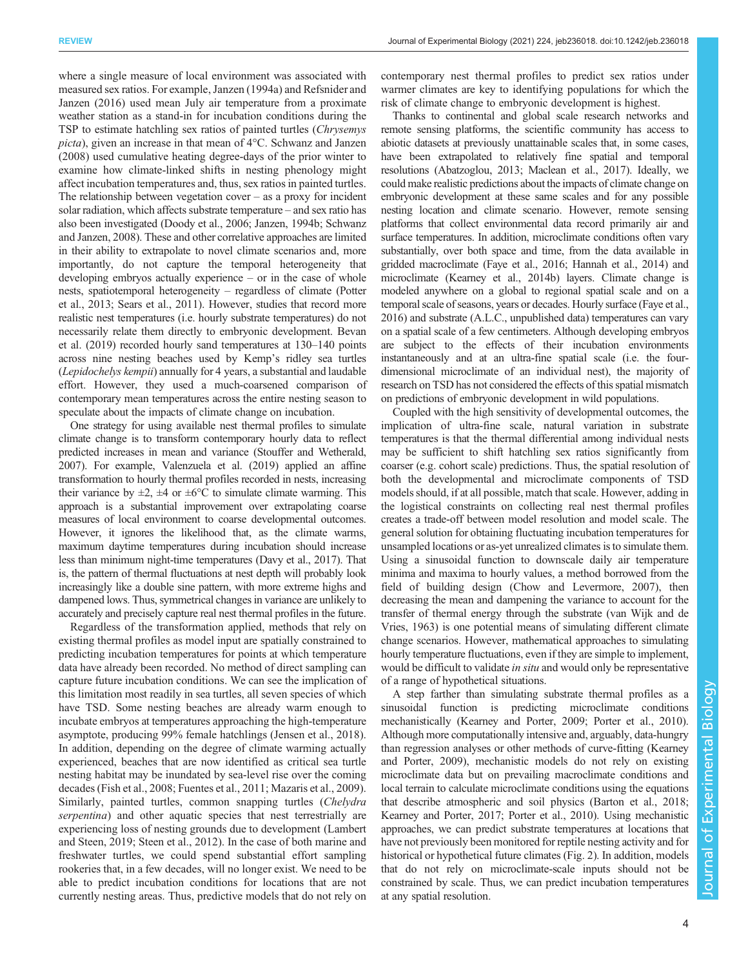where a single measure of local environment was associated with measured sex ratios. For example, [Janzen \(1994a\)](#page-8-0) and Refsnider and Janzen (2016) used mean July air temperature from a proximate weather station as a stand-in for incubation conditions during the TSP to estimate hatchling sex ratios of painted turtles (Chrysemys picta), given an increase in that mean of 4°C. [Schwanz and Janzen](#page-9-0) [\(2008\)](#page-9-0) used cumulative heating degree-days of the prior winter to examine how climate-linked shifts in nesting phenology might affect incubation temperatures and, thus, sex ratios in painted turtles. The relationship between vegetation cover  $-$  as a proxy for incident solar radiation, which affects substrate temperature – and sex ratio has also been investigated [\(Doody et al., 2006; Janzen, 1994b;](#page-8-0) [Schwanz](#page-9-0) [and Janzen, 2008](#page-9-0)). These and other correlative approaches are limited in their ability to extrapolate to novel climate scenarios and, more importantly, do not capture the temporal heterogeneity that developing embryos actually experience – or in the case of whole nests, spatiotemporal heterogeneity – regardless of climate [\(Potter](#page-9-0) [et al., 2013; Sears et al., 2011](#page-9-0)). However, studies that record more realistic nest temperatures (i.e. hourly substrate temperatures) do not necessarily relate them directly to embryonic development. [Bevan](#page-8-0) [et al. \(2019\)](#page-8-0) recorded hourly sand temperatures at 130–140 points across nine nesting beaches used by Kemp's ridley sea turtles (Lepidochelys kempii) annually for 4 years, a substantial and laudable effort. However, they used a much-coarsened comparison of contemporary mean temperatures across the entire nesting season to speculate about the impacts of climate change on incubation.

One strategy for using available nest thermal profiles to simulate climate change is to transform contemporary hourly data to reflect predicted increases in mean and variance ([Stouffer and Wetherald,](#page-9-0) [2007](#page-9-0)). For example, [Valenzuela et al. \(2019\)](#page-9-0) applied an affine transformation to hourly thermal profiles recorded in nests, increasing their variance by  $\pm 2$ ,  $\pm 4$  or  $\pm 6^{\circ}$ C to simulate climate warming. This approach is a substantial improvement over extrapolating coarse measures of local environment to coarse developmental outcomes. However, it ignores the likelihood that, as the climate warms, maximum daytime temperatures during incubation should increase less than minimum night-time temperatures [\(Davy et al., 2017\)](#page-8-0). That is, the pattern of thermal fluctuations at nest depth will probably look increasingly like a double sine pattern, with more extreme highs and dampened lows. Thus, symmetrical changes in variance are unlikely to accurately and precisely capture real nest thermal profiles in the future.

Regardless of the transformation applied, methods that rely on existing thermal profiles as model input are spatially constrained to predicting incubation temperatures for points at which temperature data have already been recorded. No method of direct sampling can capture future incubation conditions. We can see the implication of this limitation most readily in sea turtles, all seven species of which have TSD. Some nesting beaches are already warm enough to incubate embryos at temperatures approaching the high-temperature asymptote, producing 99% female hatchlings [\(Jensen et al., 2018\)](#page-8-0). In addition, depending on the degree of climate warming actually experienced, beaches that are now identified as critical sea turtle nesting habitat may be inundated by sea-level rise over the coming decades ([Fish et al., 2008](#page-8-0); [Fuentes et al., 2011](#page-8-0); [Mazaris et al., 2009\)](#page-9-0). Similarly, painted turtles, common snapping turtles (*Chelydra*) serpentina) and other aquatic species that nest terrestrially are experiencing loss of nesting grounds due to development [\(Lambert](#page-9-0) [and Steen, 2019; Steen et al., 2012\)](#page-9-0). In the case of both marine and freshwater turtles, we could spend substantial effort sampling rookeries that, in a few decades, will no longer exist. We need to be able to predict incubation conditions for locations that are not currently nesting areas. Thus, predictive models that do not rely on

contemporary nest thermal profiles to predict sex ratios under warmer climates are key to identifying populations for which the risk of climate change to embryonic development is highest.

Thanks to continental and global scale research networks and remote sensing platforms, the scientific community has access to abiotic datasets at previously unattainable scales that, in some cases, have been extrapolated to relatively fine spatial and temporal resolutions ([Abatzoglou, 2013;](#page-8-0) [Maclean et al., 2017\)](#page-9-0). Ideally, we could make realistic predictions about the impacts of climate change on embryonic development at these same scales and for any possible nesting location and climate scenario. However, remote sensing platforms that collect environmental data record primarily air and surface temperatures. In addition, microclimate conditions often vary substantially, over both space and time, from the data available in gridded macroclimate [\(Faye et al., 2016; Hannah et al., 2014](#page-8-0)) and microclimate ([Kearney et al., 2014b](#page-8-0)) layers. Climate change is modeled anywhere on a global to regional spatial scale and on a temporal scale of seasons, years or decades. Hourly surface [\(Faye et al.,](#page-8-0) [2016](#page-8-0)) and substrate (A.L.C., unpublished data) temperatures can vary on a spatial scale of a few centimeters. Although developing embryos are subject to the effects of their incubation environments instantaneously and at an ultra-fine spatial scale (i.e. the fourdimensional microclimate of an individual nest), the majority of research on TSD has not considered the effects of this spatial mismatch on predictions of embryonic development in wild populations.

Coupled with the high sensitivity of developmental outcomes, the implication of ultra-fine scale, natural variation in substrate temperatures is that the thermal differential among individual nests may be sufficient to shift hatchling sex ratios significantly from coarser (e.g. cohort scale) predictions. Thus, the spatial resolution of both the developmental and microclimate components of TSD models should, if at all possible, match that scale. However, adding in the logistical constraints on collecting real nest thermal profiles creates a trade-off between model resolution and model scale. The general solution for obtaining fluctuating incubation temperatures for unsampled locations or as-yet unrealized climates is to simulate them. Using a sinusoidal function to downscale daily air temperature minima and maxima to hourly values, a method borrowed from the field of building design [\(Chow and Levermore, 2007](#page-8-0)), then decreasing the mean and dampening the variance to account for the transfer of thermal energy through the substrate ([van Wijk and de](#page-9-0) [Vries, 1963\)](#page-9-0) is one potential means of simulating different climate change scenarios. However, mathematical approaches to simulating hourly temperature fluctuations, even if they are simple to implement, would be difficult to validate *in situ* and would only be representative of a range of hypothetical situations.

A step farther than simulating substrate thermal profiles as a sinusoidal function is predicting microclimate conditions mechanistically [\(Kearney and Porter, 2009;](#page-8-0) [Porter et al., 2010\)](#page-9-0). Although more computationally intensive and, arguably, data-hungry than regression analyses or other methods of curve-fitting ([Kearney](#page-8-0) [and Porter, 2009\)](#page-8-0), mechanistic models do not rely on existing microclimate data but on prevailing macroclimate conditions and local terrain to calculate microclimate conditions using the equations that describe atmospheric and soil physics [\(Barton et al., 2018](#page-8-0); [Kearney and Porter, 2017](#page-8-0); [Porter et al., 2010\)](#page-9-0). Using mechanistic approaches, we can predict substrate temperatures at locations that have not previously been monitored for reptile nesting activity and for historical or hypothetical future climates [\(Fig. 2\)](#page-4-0). In addition, models that do not rely on microclimate-scale inputs should not be constrained by scale. Thus, we can predict incubation temperatures at any spatial resolution.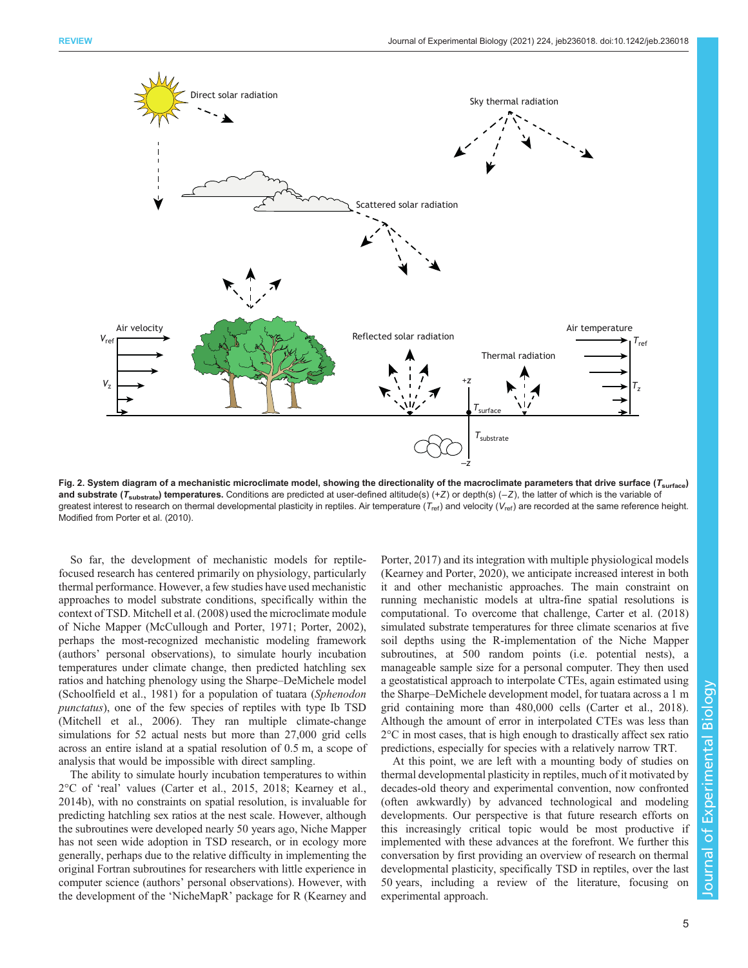<span id="page-4-0"></span>

Fig. 2. System diagram of a mechanistic microclimate model, showing the directionality of the macroclimate parameters that drive surface ( $T_{\text{surface}}$ ) and substrate ( $T_{\text{substrate}}$ ) temperatures. Conditions are predicted at user-defined altitude(s) (+Z) or depth(s) (-Z), the latter of which is the variable of greatest interest to research on thermal developmental plasticity in reptiles. Air temperature ( $T_{\text{ref}}$ ) and velocity ( $V_{\text{ref}}$ ) are recorded at the same reference height. Modified from [Porter et al. \(2010\)](#page-9-0).

So far, the development of mechanistic models for reptilefocused research has centered primarily on physiology, particularly thermal performance. However, a few studies have used mechanistic approaches to model substrate conditions, specifically within the context of TSD. [Mitchell et al. \(2008\)](#page-9-0) used the microclimate module of Niche Mapper ([McCullough and Porter, 1971; Porter, 2002\)](#page-9-0), perhaps the most-recognized mechanistic modeling framework (authors' personal observations), to simulate hourly incubation temperatures under climate change, then predicted hatchling sex ratios and hatching phenology using the Sharpe–DeMichele model [\(Schoolfield et al., 1981](#page-9-0)) for a population of tuatara (Sphenodon punctatus), one of the few species of reptiles with type Ib TSD [\(Mitchell et al., 2006\)](#page-9-0). They ran multiple climate-change simulations for 52 actual nests but more than 27,000 grid cells across an entire island at a spatial resolution of 0.5 m, a scope of analysis that would be impossible with direct sampling.

The ability to simulate hourly incubation temperatures to within 2°C of 'real' values [\(Carter et al., 2015, 2018; Kearney et al.,](#page-8-0) [2014b\)](#page-8-0), with no constraints on spatial resolution, is invaluable for predicting hatchling sex ratios at the nest scale. However, although the subroutines were developed nearly 50 years ago, Niche Mapper has not seen wide adoption in TSD research, or in ecology more generally, perhaps due to the relative difficulty in implementing the original Fortran subroutines for researchers with little experience in computer science (authors' personal observations). However, with the development of the 'NicheMapR' package for R [\(Kearney and](#page-8-0)

[Porter, 2017](#page-8-0)) and its integration with multiple physiological models [\(Kearney and Porter, 2020](#page-8-0)), we anticipate increased interest in both it and other mechanistic approaches. The main constraint on running mechanistic models at ultra-fine spatial resolutions is computational. To overcome that challenge, [Carter et al. \(2018\)](#page-8-0) simulated substrate temperatures for three climate scenarios at five soil depths using the R-implementation of the Niche Mapper subroutines, at 500 random points (i.e. potential nests), a manageable sample size for a personal computer. They then used a geostatistical approach to interpolate CTEs, again estimated using the Sharpe–DeMichele development model, for tuatara across a 1 m grid containing more than 480,000 cells [\(Carter et al., 2018\)](#page-8-0). Although the amount of error in interpolated CTEs was less than 2°C in most cases, that is high enough to drastically affect sex ratio predictions, especially for species with a relatively narrow TRT.

At this point, we are left with a mounting body of studies on thermal developmental plasticity in reptiles, much of it motivated by decades-old theory and experimental convention, now confronted (often awkwardly) by advanced technological and modeling developments. Our perspective is that future research efforts on this increasingly critical topic would be most productive if implemented with these advances at the forefront. We further this conversation by first providing an overview of research on thermal developmental plasticity, specifically TSD in reptiles, over the last 50 years, including a review of the literature, focusing on experimental approach.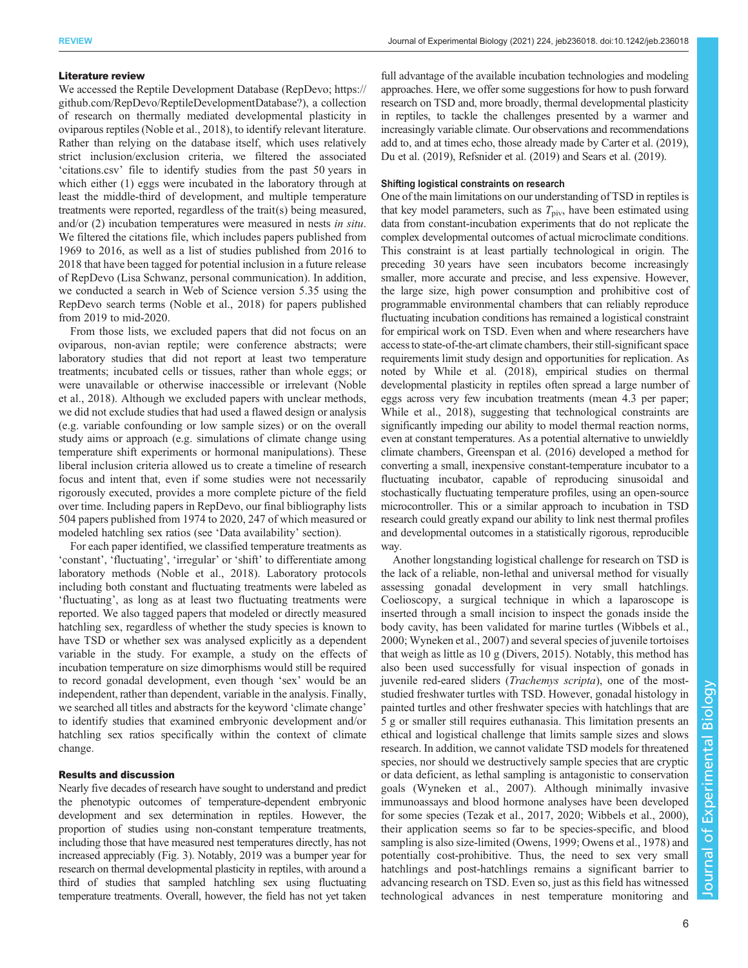#### Literature review

We accessed the Reptile Development Database (RepDevo; [https://](https://github.com/RepDevo/ReptileDevelopmentDatabase?) [github.com/RepDevo/ReptileDevelopmentDatabase?](https://github.com/RepDevo/ReptileDevelopmentDatabase?)), a collection of research on thermally mediated developmental plasticity in oviparous reptiles ([Noble et al., 2018\)](#page-9-0), to identify relevant literature. Rather than relying on the database itself, which uses relatively strict inclusion/exclusion criteria, we filtered the associated 'citations.csv' file to identify studies from the past 50 years in which either (1) eggs were incubated in the laboratory through at least the middle-third of development, and multiple temperature treatments were reported, regardless of the trait(s) being measured, and/or (2) incubation temperatures were measured in nests in situ. We filtered the citations file, which includes papers published from 1969 to 2016, as well as a list of studies published from 2016 to 2018 that have been tagged for potential inclusion in a future release of RepDevo (Lisa Schwanz, personal communication). In addition, we conducted a search in Web of Science version 5.35 using the RepDevo search terms [\(Noble et al., 2018\)](#page-9-0) for papers published from 2019 to mid-2020.

From those lists, we excluded papers that did not focus on an oviparous, non-avian reptile; were conference abstracts; were laboratory studies that did not report at least two temperature treatments; incubated cells or tissues, rather than whole eggs; or were unavailable or otherwise inaccessible or irrelevant ([Noble](#page-9-0) [et al., 2018\)](#page-9-0). Although we excluded papers with unclear methods, we did not exclude studies that had used a flawed design or analysis (e.g. variable confounding or low sample sizes) or on the overall study aims or approach (e.g. simulations of climate change using temperature shift experiments or hormonal manipulations). These liberal inclusion criteria allowed us to create a timeline of research focus and intent that, even if some studies were not necessarily rigorously executed, provides a more complete picture of the field over time. Including papers in RepDevo, our final bibliography lists 504 papers published from 1974 to 2020, 247 of which measured or modeled hatchling sex ratios (see 'Data availability' section).

For each paper identified, we classified temperature treatments as 'constant', 'fluctuating', 'irregular' or 'shift' to differentiate among laboratory methods ([Noble et al., 2018\)](#page-9-0). Laboratory protocols including both constant and fluctuating treatments were labeled as 'fluctuating', as long as at least two fluctuating treatments were reported. We also tagged papers that modeled or directly measured hatchling sex, regardless of whether the study species is known to have TSD or whether sex was analysed explicitly as a dependent variable in the study. For example, a study on the effects of incubation temperature on size dimorphisms would still be required to record gonadal development, even though 'sex' would be an independent, rather than dependent, variable in the analysis. Finally, we searched all titles and abstracts for the keyword 'climate change' to identify studies that examined embryonic development and/or hatchling sex ratios specifically within the context of climate change.

# Results and discussion

Nearly five decades of research have sought to understand and predict the phenotypic outcomes of temperature-dependent embryonic development and sex determination in reptiles. However, the proportion of studies using non-constant temperature treatments, including those that have measured nest temperatures directly, has not increased appreciably [\(Fig. 3](#page-6-0)). Notably, 2019 was a bumper year for research on thermal developmental plasticity in reptiles, with around a third of studies that sampled hatchling sex using fluctuating temperature treatments. Overall, however, the field has not yet taken

full advantage of the available incubation technologies and modeling approaches. Here, we offer some suggestions for how to push forward research on TSD and, more broadly, thermal developmental plasticity in reptiles, to tackle the challenges presented by a warmer and increasingly variable climate. Our observations and recommendations add to, and at times echo, those already made by [Carter et al. \(2019\),](#page-8-0) [Du et al. \(2019\),](#page-8-0) [Refsnider et al. \(2019\)](#page-9-0) and [Sears et al. \(2019\).](#page-9-0)

## Shifting logistical constraints on research

One of the main limitations on our understanding of TSD in reptiles is that key model parameters, such as  $T_{\text{piv}}$ , have been estimated using data from constant-incubation experiments that do not replicate the complex developmental outcomes of actual microclimate conditions. This constraint is at least partially technological in origin. The preceding 30 years have seen incubators become increasingly smaller, more accurate and precise, and less expensive. However, the large size, high power consumption and prohibitive cost of programmable environmental chambers that can reliably reproduce fluctuating incubation conditions has remained a logistical constraint for empirical work on TSD. Even when and where researchers have access to state-of-the-art climate chambers, their still-significant space requirements limit study design and opportunities for replication. As noted by [While et al. \(2018\),](#page-9-0) empirical studies on thermal developmental plasticity in reptiles often spread a large number of eggs across very few incubation treatments (mean 4.3 per paper; [While et al., 2018](#page-9-0)), suggesting that technological constraints are significantly impeding our ability to model thermal reaction norms, even at constant temperatures. As a potential alternative to unwieldly climate chambers, [Greenspan et al. \(2016\)](#page-8-0) developed a method for converting a small, inexpensive constant-temperature incubator to a fluctuating incubator, capable of reproducing sinusoidal and stochastically fluctuating temperature profiles, using an open-source microcontroller. This or a similar approach to incubation in TSD research could greatly expand our ability to link nest thermal profiles and developmental outcomes in a statistically rigorous, reproducible way.

Another longstanding logistical challenge for research on TSD is the lack of a reliable, non-lethal and universal method for visually assessing gonadal development in very small hatchlings. Coelioscopy, a surgical technique in which a laparoscope is inserted through a small incision to inspect the gonads inside the body cavity, has been validated for marine turtles [\(Wibbels et al.,](#page-9-0) [2000; Wyneken et al., 2007\)](#page-9-0) and several species of juvenile tortoises that weigh as little as 10 g [\(Divers, 2015\)](#page-8-0). Notably, this method has also been used successfully for visual inspection of gonads in juvenile red-eared sliders (Trachemys scripta), one of the moststudied freshwater turtles with TSD. However, gonadal histology in painted turtles and other freshwater species with hatchlings that are 5 g or smaller still requires euthanasia. This limitation presents an ethical and logistical challenge that limits sample sizes and slows research. In addition, we cannot validate TSD models for threatened species, nor should we destructively sample species that are cryptic or data deficient, as lethal sampling is antagonistic to conservation goals [\(Wyneken et al., 2007\)](#page-9-0). Although minimally invasive immunoassays and blood hormone analyses have been developed for some species [\(Tezak et al., 2017, 2020](#page-9-0); [Wibbels et al., 2000\)](#page-9-0), their application seems so far to be species-specific, and blood sampling is also size-limited ([Owens, 1999](#page-9-0); [Owens et al., 1978](#page-9-0)) and potentially cost-prohibitive. Thus, the need to sex very small hatchlings and post-hatchlings remains a significant barrier to advancing research on TSD. Even so, just as this field has witnessed technological advances in nest temperature monitoring and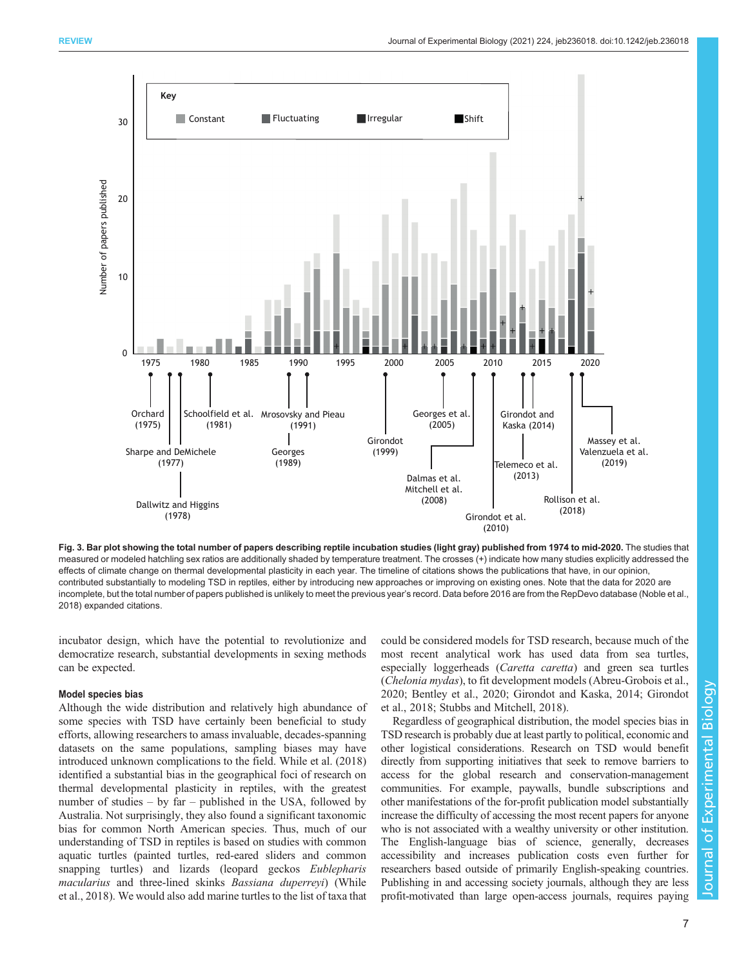<span id="page-6-0"></span>

Fig. 3. Bar plot showing the total number of papers describing reptile incubation studies (light gray) published from 1974 to mid-2020. The studies that measured or modeled hatchling sex ratios are additionally shaded by temperature treatment. The crosses (+) indicate how many studies explicitly addressed the effects of climate change on thermal developmental plasticity in each year. The timeline of citations shows the publications that have, in our opinion, contributed substantially to modeling TSD in reptiles, either by introducing new approaches or improving on existing ones. Note that the data for 2020 are incomplete, but the total number of papers published is unlikely to meet the previous year's record. Data before 2016 are from the RepDevo database ([Noble et al.,](#page-9-0) [2018\)](#page-9-0) expanded citations.

incubator design, which have the potential to revolutionize and democratize research, substantial developments in sexing methods can be expected.

#### Model species bias

Although the wide distribution and relatively high abundance of some species with TSD have certainly been beneficial to study efforts, allowing researchers to amass invaluable, decades-spanning datasets on the same populations, sampling biases may have introduced unknown complications to the field. [While et al. \(2018\)](#page-9-0) identified a substantial bias in the geographical foci of research on thermal developmental plasticity in reptiles, with the greatest number of studies – by far – published in the USA, followed by Australia. Not surprisingly, they also found a significant taxonomic bias for common North American species. Thus, much of our understanding of TSD in reptiles is based on studies with common aquatic turtles (painted turtles, red-eared sliders and common snapping turtles) and lizards (leopard geckos Eublepharis macularius and three-lined skinks Bassiana duperreyi) ([While](#page-9-0) [et al., 2018](#page-9-0)). We would also add marine turtles to the list of taxa that

could be considered models for TSD research, because much of the most recent analytical work has used data from sea turtles, especially loggerheads (*Caretta caretta*) and green sea turtles (Chelonia mydas), to fit development models [\(Abreu-Grobois et al.,](#page-8-0) [2020; Bentley et al., 2020](#page-8-0); [Girondot and Kaska, 2014; Girondot](#page-8-0) [et al., 2018;](#page-8-0) [Stubbs and Mitchell, 2018](#page-9-0)).

Regardless of geographical distribution, the model species bias in TSD research is probably due at least partly to political, economic and other logistical considerations. Research on TSD would benefit directly from supporting initiatives that seek to remove barriers to access for the global research and conservation-management communities. For example, paywalls, bundle subscriptions and other manifestations of the for-profit publication model substantially increase the difficulty of accessing the most recent papers for anyone who is not associated with a wealthy university or other institution. The English-language bias of science, generally, decreases accessibility and increases publication costs even further for researchers based outside of primarily English-speaking countries. Publishing in and accessing society journals, although they are less profit-motivated than large open-access journals, requires paying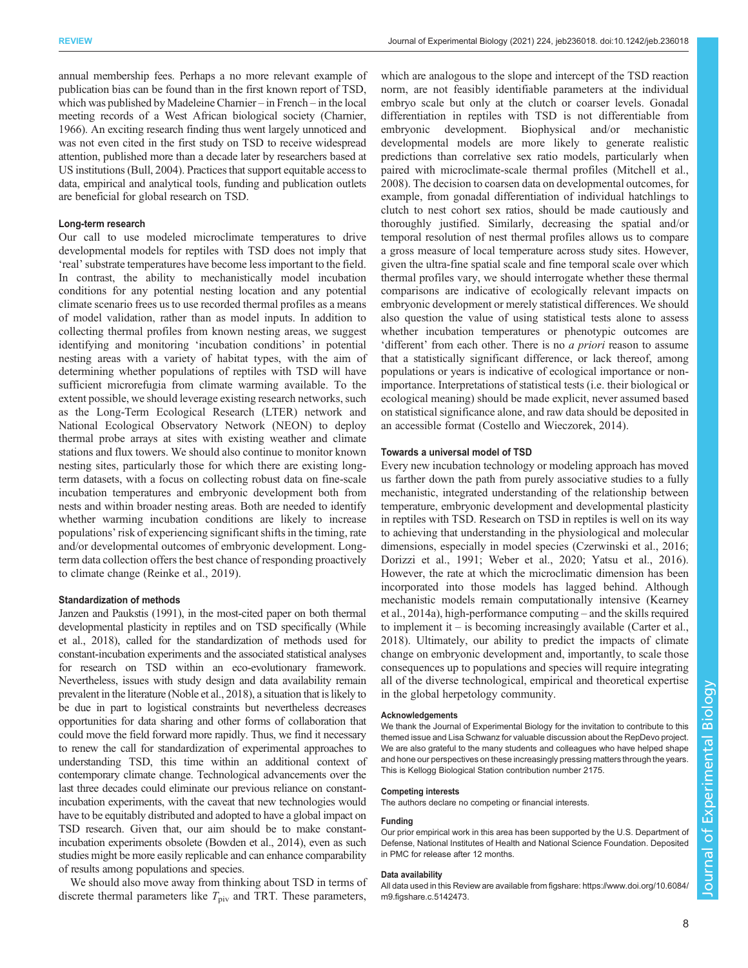annual membership fees. Perhaps a no more relevant example of publication bias can be found than in the first known report of TSD, which was published by Madeleine Charnier – in French – in the local meeting records of a West African biological society [\(Charnier,](#page-8-0) [1966\)](#page-8-0). An exciting research finding thus went largely unnoticed and was not even cited in the first study on TSD to receive widespread attention, published more than a decade later by researchers based at US institutions [\(Bull, 2004\)](#page-8-0). Practices that support equitable access to data, empirical and analytical tools, funding and publication outlets are beneficial for global research on TSD.

#### Long-term research

Our call to use modeled microclimate temperatures to drive developmental models for reptiles with TSD does not imply that 'real'substrate temperatures have become less important to the field. In contrast, the ability to mechanistically model incubation conditions for any potential nesting location and any potential climate scenario frees us to use recorded thermal profiles as a means of model validation, rather than as model inputs. In addition to collecting thermal profiles from known nesting areas, we suggest identifying and monitoring 'incubation conditions' in potential nesting areas with a variety of habitat types, with the aim of determining whether populations of reptiles with TSD will have sufficient microrefugia from climate warming available. To the extent possible, we should leverage existing research networks, such as the Long-Term Ecological Research (LTER) network and National Ecological Observatory Network (NEON) to deploy thermal probe arrays at sites with existing weather and climate stations and flux towers. We should also continue to monitor known nesting sites, particularly those for which there are existing longterm datasets, with a focus on collecting robust data on fine-scale incubation temperatures and embryonic development both from nests and within broader nesting areas. Both are needed to identify whether warming incubation conditions are likely to increase populations' risk of experiencing significant shifts in the timing, rate and/or developmental outcomes of embryonic development. Longterm data collection offers the best chance of responding proactively to climate change ([Reinke et al., 2019](#page-9-0)).

#### Standardization of methods

[Janzen and Paukstis \(1991\),](#page-8-0) in the most-cited paper on both thermal developmental plasticity in reptiles and on TSD specifically ([While](#page-9-0) [et al., 2018](#page-9-0)), called for the standardization of methods used for constant-incubation experiments and the associated statistical analyses for research on TSD within an eco-evolutionary framework. Nevertheless, issues with study design and data availability remain prevalent in the literature [\(Noble et al., 2018](#page-9-0)), a situation that is likely to be due in part to logistical constraints but nevertheless decreases opportunities for data sharing and other forms of collaboration that could move the field forward more rapidly. Thus, we find it necessary to renew the call for standardization of experimental approaches to understanding TSD, this time within an additional context of contemporary climate change. Technological advancements over the last three decades could eliminate our previous reliance on constantincubation experiments, with the caveat that new technologies would have to be equitably distributed and adopted to have a global impact on TSD research. Given that, our aim should be to make constantincubation experiments obsolete [\(Bowden et al., 2014](#page-8-0)), even as such studies might be more easily replicable and can enhance comparability of results among populations and species.

We should also move away from thinking about TSD in terms of discrete thermal parameters like  $T_{\text{piv}}$  and TRT. These parameters,

which are analogous to the slope and intercept of the TSD reaction norm, are not feasibly identifiable parameters at the individual embryo scale but only at the clutch or coarser levels. Gonadal differentiation in reptiles with TSD is not differentiable from embryonic development. Biophysical and/or mechanistic developmental models are more likely to generate realistic predictions than correlative sex ratio models, particularly when paired with microclimate-scale thermal profiles [\(Mitchell et al.,](#page-9-0) [2008\)](#page-9-0). The decision to coarsen data on developmental outcomes, for example, from gonadal differentiation of individual hatchlings to clutch to nest cohort sex ratios, should be made cautiously and thoroughly justified. Similarly, decreasing the spatial and/or temporal resolution of nest thermal profiles allows us to compare a gross measure of local temperature across study sites. However, given the ultra-fine spatial scale and fine temporal scale over which thermal profiles vary, we should interrogate whether these thermal comparisons are indicative of ecologically relevant impacts on embryonic development or merely statistical differences. We should also question the value of using statistical tests alone to assess whether incubation temperatures or phenotypic outcomes are 'different' from each other. There is no a priori reason to assume that a statistically significant difference, or lack thereof, among populations or years is indicative of ecological importance or nonimportance. Interpretations of statistical tests (i.e. their biological or ecological meaning) should be made explicit, never assumed based on statistical significance alone, and raw data should be deposited in an accessible format [\(Costello and Wieczorek, 2014\)](#page-8-0).

## Towards a universal model of TSD

Every new incubation technology or modeling approach has moved us farther down the path from purely associative studies to a fully mechanistic, integrated understanding of the relationship between temperature, embryonic development and developmental plasticity in reptiles with TSD. Research on TSD in reptiles is well on its way to achieving that understanding in the physiological and molecular dimensions, especially in model species ([Czerwinski et al., 2016](#page-8-0); [Dorizzi et al., 1991](#page-8-0); [Weber et al., 2020; Yatsu et al., 2016\)](#page-9-0). However, the rate at which the microclimatic dimension has been incorporated into those models has lagged behind. Although mechanistic models remain computationally intensive [\(Kearney](#page-9-0) [et al., 2014a](#page-9-0)), high-performance computing – and the skills required to implement it – is becoming increasingly available [\(Carter et al.,](#page-8-0) [2018\)](#page-8-0). Ultimately, our ability to predict the impacts of climate change on embryonic development and, importantly, to scale those consequences up to populations and species will require integrating all of the diverse technological, empirical and theoretical expertise in the global herpetology community.

#### Acknowledgements

We thank the Journal of Experimental Biology for the invitation to contribute to this themed issue and Lisa Schwanz for valuable discussion about the RepDevo project. We are also grateful to the many students and colleagues who have helped shape and hone our perspectives on these increasingly pressing matters through the years. This is Kellogg Biological Station contribution number 2175.

#### Competing interests

The authors declare no competing or financial interests.

#### Funding

Our prior empirical work in this area has been supported by the U.S. Department of Defense, National Institutes of Health and National Science Foundation. Deposited in PMC for release after 12 months.

#### Data availability

All data used in this Review are available from figshare: [https://www.doi.org/10.6084/](https://www.doi.org/10.6084/m9.figshare.c.5142473) [m9.figshare.c.5142473.](https://www.doi.org/10.6084/m9.figshare.c.5142473)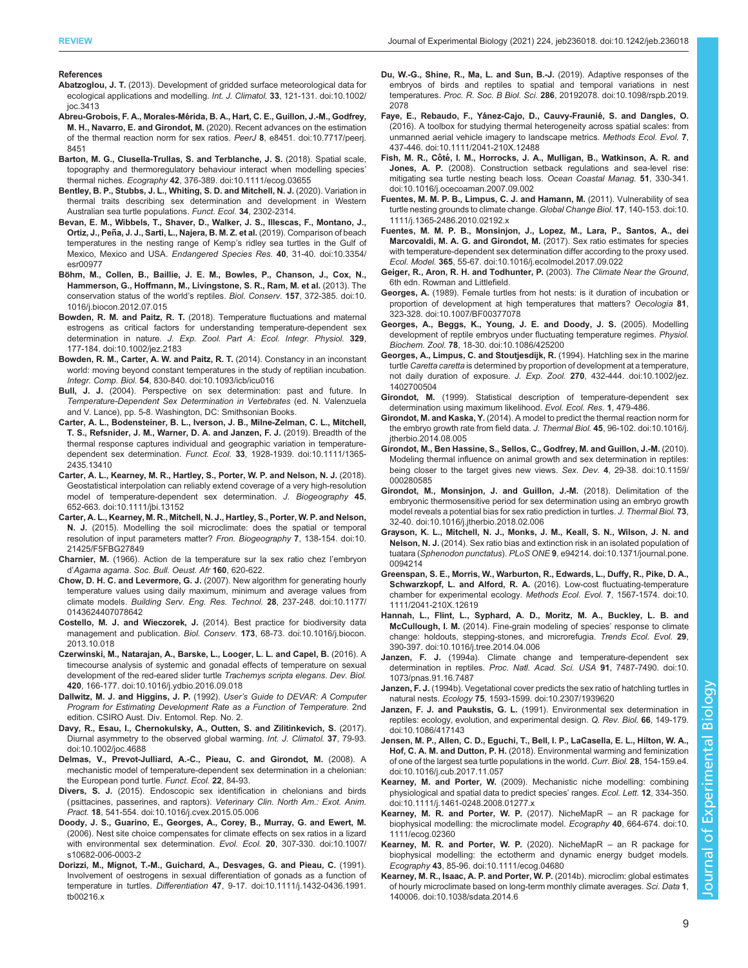#### <span id="page-8-0"></span>References

- Abatzoglou, J. T. [\(2013\). Development of gridded surface meteorological data for](https://doi.org/10.1002/joc.3413) [ecological applications and modelling.](https://doi.org/10.1002/joc.3413) Int. J. Climatol. 33, 121-131. doi:10.1002/ [joc.3413](https://doi.org/10.1002/joc.3413)
- Abreu-Grobois, F. A., Morales-Mé[rida, B. A., Hart, C. E., Guillon, J.-M., Godfrey,](https://doi.org/10.7717/peerj.8451) M. H., Navarro, E. and Girondot, M. [\(2020\). Recent advances on the estimation](https://doi.org/10.7717/peerj.8451) [of the thermal reaction norm for sex ratios.](https://doi.org/10.7717/peerj.8451) PeerJ 8, e8451. doi:10.7717/peerj. [8451](https://doi.org/10.7717/peerj.8451)
- [Barton, M. G., Clusella-Trullas, S. and Terblanche, J. S.](https://doi.org/10.1111/ecog.03655) (2018). Spatial scale, [topography and thermoregulatory behaviour interact when modelling species](https://doi.org/10.1111/ecog.03655)' thermal niches. Ecography 42[, 376-389. doi:10.1111/ecog.03655](https://doi.org/10.1111/ecog.03655)
- Bentley, B. P., Stubbs, J. L., Whiting, S. D. and Mitchell, N. J. (2020). Variation in thermal traits describing sex determination and development in Western Australian sea turtle populations. Funct. Ecol. 34, 2302-2314.
- [Bevan, E. M., Wibbels, T., Shaver, D., Walker, J. S., Illescas, F., Montano, J.,](https://doi.org/10.3354/esr00977) **Ortiz, J., Peñ[a, J. J., Sarti, L., Najera, B. M. Z. et al.](https://doi.org/10.3354/esr00977)** (2019). Comparison of beach [temperatures in the nesting range of Kemp](https://doi.org/10.3354/esr00977)'s ridley sea turtles in the Gulf of [Mexico, Mexico and USA.](https://doi.org/10.3354/esr00977) Endangered Species Res. 40, 31-40. doi:10.3354/ [esr00977](https://doi.org/10.3354/esr00977)
- Bö[hm, M., Collen, B., Baillie, J. E. M., Bowles, P., Chanson, J., Cox, N.,](https://doi.org/10.1016/j.biocon.2012.07.015) [Hammerson, G., Hoffmann, M., Livingstone, S. R., Ram, M. et al.](https://doi.org/10.1016/j.biocon.2012.07.015) (2013). The [conservation status of the world](https://doi.org/10.1016/j.biocon.2012.07.015)'s reptiles. Biol. Conserv. 157, 372-385. doi:10. [1016/j.biocon.2012.07.015](https://doi.org/10.1016/j.biocon.2012.07.015)
- Bowden, R. M. and Paitz, R. T. [\(2018\). Temperature fluctuations and maternal](https://doi.org/10.1002/jez.2183) [estrogens as critical factors for understanding temperature-dependent sex](https://doi.org/10.1002/jez.2183) determination in nature. [J. Exp. Zool. Part A: Ecol. Integr. Physiol.](https://doi.org/10.1002/jez.2183) 329, [177-184. doi:10.1002/jez.2183](https://doi.org/10.1002/jez.2183)
- [Bowden, R. M., Carter, A. W. and Paitz, R. T.](https://doi.org/10.1093/icb/icu016) (2014). Constancy in an inconstant [world: moving beyond constant temperatures in the study of reptilian incubation.](https://doi.org/10.1093/icb/icu016) Integr. Comp. Biol. 54[, 830-840. doi:10.1093/icb/icu016](https://doi.org/10.1093/icb/icu016)
- Bull, J. J. (2004). Perspective on sex determination: past and future. In Temperature-Dependent Sex Determination in Vertebrates (ed. N. Valenzuela and V. Lance), pp. 5-8. Washington, DC: Smithsonian Books.
- [Carter, A. L., Bodensteiner, B. L., Iverson, J. B., Milne-Zelman, C. L., Mitchell,](https://doi.org/10.1111/1365-2435.13410) [T. S., Refsnider, J. M., Warner, D. A. and Janzen, F. J.](https://doi.org/10.1111/1365-2435.13410) (2019). Breadth of the [thermal response captures individual and geographic variation in temperature-](https://doi.org/10.1111/1365-2435.13410)dependent sex determination. Funct. Ecol. 33[, 1928-1939. doi:10.1111/1365-](https://doi.org/10.1111/1365-2435.13410) [2435.13410](https://doi.org/10.1111/1365-2435.13410)
- [Carter, A. L., Kearney, M. R., Hartley, S., Porter, W. P. and Nelson, N. J.](https://doi.org/10.1111/jbi.13152) (2018). [Geostatistical interpolation can reliably extend coverage of a very high-resolution](https://doi.org/10.1111/jbi.13152) [model of temperature-dependent sex determination.](https://doi.org/10.1111/jbi.13152) J. Biogeography 45, [652-663. doi:10.1111/jbi.13152](https://doi.org/10.1111/jbi.13152)
- [Carter, A. L., Kearney, M. R., Mitchell, N. J., Hartley, S., Porter, W. P. and Nelson,](https://doi.org/10.21425/F5FBG27849) N. J. [\(2015\). Modelling the soil microclimate: does the spatial or temporal](https://doi.org/10.21425/F5FBG27849) [resolution of input parameters matter?](https://doi.org/10.21425/F5FBG27849) Fron. Biogeography 7, 138-154. doi:10. [21425/F5FBG27849](https://doi.org/10.21425/F5FBG27849)
- Charnier, M. (1966). Action de la temperature sur la sex ratio chez l'embryon d'Agama agama. Soc. Bull. Oeust. Afr 160, 620-622.
- Chow, D. H. C. and Levermore, G. J. [\(2007\). New algorithm for generating hourly](https://doi.org/10.1177/0143624407078642) [temperature values using daily maximum, minimum and average values from](https://doi.org/10.1177/0143624407078642) climate models. [Building Serv. Eng. Res. Technol.](https://doi.org/10.1177/0143624407078642) 28, 237-248. doi:10.1177/ [0143624407078642](https://doi.org/10.1177/0143624407078642)
- Costello, M. J. and Wieczorek, J. [\(2014\). Best practice for biodiversity data](https://doi.org/10.1016/j.biocon.2013.10.018) [management and publication.](https://doi.org/10.1016/j.biocon.2013.10.018) Biol. Conserv. 173, 68-73. doi:10.1016/j.biocon. [2013.10.018](https://doi.org/10.1016/j.biocon.2013.10.018)
- [Czerwinski, M., Natarajan, A., Barske, L., Looger, L. L. and Capel, B.](https://doi.org/10.1016/j.ydbio.2016.09.018) (2016). A [timecourse analysis of systemic and gonadal effects of temperature on sexual](https://doi.org/10.1016/j.ydbio.2016.09.018) [development of the red-eared slider turtle](https://doi.org/10.1016/j.ydbio.2016.09.018) Trachemys scripta elegans. Dev. Biol. 420[, 166-177. doi:10.1016/j.ydbio.2016.09.018](https://doi.org/10.1016/j.ydbio.2016.09.018)
- Dallwitz, M. J. and Higgins, J. P. (1992). User's Guide to DEVAR: A Computer Program for Estimating Development Rate as a Function of Temperature. 2nd edition. CSIRO Aust. Div. Entomol. Rep. No. 2.
- [Davy, R., Esau, I., Chernokulsky, A., Outten, S. and Zilitinkevich, S.](https://doi.org/10.1002/joc.4688) (2017). [Diurnal asymmetry to the observed global warming.](https://doi.org/10.1002/joc.4688) Int. J. Climatol. 37, 79-93. [doi:10.1002/joc.4688](https://doi.org/10.1002/joc.4688)
- Delmas, V., Prevot-Julliard, A.-C., Pieau, C. and Girondot, M. (2008). A mechanistic model of temperature-dependent sex determination in a chelonian: the European pond turtle. Funct. Ecol. 22, 84-93.
- Divers, S. J. [\(2015\). Endoscopic sex identification in chelonians and birds](https://doi.org/10.1016/j.cvex.2015.05.006) (psittacines, passerines, and raptors). [Veterinary Clin. North Am.: Exot. Anim.](https://doi.org/10.1016/j.cvex.2015.05.006) Pract. 18[, 541-554. doi:10.1016/j.cvex.2015.05.006](https://doi.org/10.1016/j.cvex.2015.05.006)
- [Doody, J. S., Guarino, E., Georges, A., Corey, B., Murray, G. and Ewert, M.](https://doi.org/10.1007/s10682-006-0003-2) [\(2006\). Nest site choice compensates for climate effects on sex ratios in a lizard](https://doi.org/10.1007/s10682-006-0003-2) [with environmental sex determination.](https://doi.org/10.1007/s10682-006-0003-2) Evol. Ecol. 20, 307-330. doi:10.1007/ [s10682-006-0003-2](https://doi.org/10.1007/s10682-006-0003-2)
- [Dorizzi, M., Mignot, T.-M., Guichard, A., Desvages, G. and Pieau, C.](https://doi.org/10.1111/j.1432-0436.1991.tb00216.x) (1991). [Involvement of oestrogens in sexual differentiation of gonads as a function of](https://doi.org/10.1111/j.1432-0436.1991.tb00216.x) temperature in turtles. Differentiation 47[, 9-17. doi:10.1111/j.1432-0436.1991.](https://doi.org/10.1111/j.1432-0436.1991.tb00216.x) [tb00216.x](https://doi.org/10.1111/j.1432-0436.1991.tb00216.x)
- [Du, W.-G., Shine, R., Ma, L. and Sun, B.-J.](https://doi.org/10.1098/rspb.2019.2078) (2019). Adaptive responses of the [embryos of birds and reptiles to spatial and temporal variations in nest](https://doi.org/10.1098/rspb.2019.2078) temperatures. Proc. R. Soc. B Biol. Sci. 286[, 20192078. doi:10.1098/rspb.2019.](https://doi.org/10.1098/rspb.2019.2078) [2078](https://doi.org/10.1098/rspb.2019.2078)
- Faye, E., Rebaudo, F., Yánez-Cajo, D., Cauvy-Fraunié, S. and Dangles, O. [\(2016\). A toolbox for studying thermal heterogeneity across spatial scales: from](https://doi.org/10.1111/2041-210X.12488) [unmanned aerial vehicle imagery to landscape metrics.](https://doi.org/10.1111/2041-210X.12488) Methods Ecol. Evol. 7, [437-446. doi:10.1111/2041-210X.12488](https://doi.org/10.1111/2041-210X.12488)
- Fish, M. R., Côté[, I. M., Horrocks, J. A., Mulligan, B., Watkinson, A. R. and](https://doi.org/10.1016/j.ocecoaman.2007.09.002) Jones, A. P. [\(2008\). Construction setback regulations and sea-level rise:](https://doi.org/10.1016/j.ocecoaman.2007.09.002) [mitigating sea turtle nesting beach loss.](https://doi.org/10.1016/j.ocecoaman.2007.09.002) Ocean Coastal Manag. 51, 330-341. [doi:10.1016/j.ocecoaman.2007.09.002](https://doi.org/10.1016/j.ocecoaman.2007.09.002)
- [Fuentes, M. M. P. B., Limpus, C. J. and Hamann, M.](https://doi.org/10.1111/j.1365-2486.2010.02192.x) (2011). Vulnerability of sea [turtle nesting grounds to climate change.](https://doi.org/10.1111/j.1365-2486.2010.02192.x) Global Change Biol. 17, 140-153. doi:10. [1111/j.1365-2486.2010.02192.x](https://doi.org/10.1111/j.1365-2486.2010.02192.x)
- [Fuentes, M. M. P. B., Monsinjon, J., Lopez, M., Lara, P., Santos, A., dei](https://doi.org/10.1016/j.ecolmodel.2017.09.022) [Marcovaldi, M. A. G. and Girondot, M.](https://doi.org/10.1016/j.ecolmodel.2017.09.022) (2017). Sex ratio estimates for species [with temperature-dependent sex determination differ according to the proxy used.](https://doi.org/10.1016/j.ecolmodel.2017.09.022) Ecol. Model. 365[, 55-67. doi:10.1016/j.ecolmodel.2017.09.022](https://doi.org/10.1016/j.ecolmodel.2017.09.022)
- Geiger, R., Aron, R. H. and Todhunter, P. (2003). The Climate Near the Ground, 6th edn. Rowman and Littlefield.
- Georges, A. [\(1989\). Female turtles from hot nests: is it duration of incubation or](https://doi.org/10.1007/BF00377078) [proportion of development at high temperatures that matters?](https://doi.org/10.1007/BF00377078) Oecologia 81, [323-328. doi:10.1007/BF00377078](https://doi.org/10.1007/BF00377078)
- [Georges, A., Beggs, K., Young, J. E. and Doody, J. S.](https://doi.org/10.1086/425200) (2005). Modelling [development of reptile embryos under fluctuating temperature regimes.](https://doi.org/10.1086/425200) Physiol. Biochem. Zool. 78[, 18-30. doi:10.1086/425200](https://doi.org/10.1086/425200)
- [Georges, A., Limpus, C. and Stoutjesdijk, R.](https://doi.org/10.1002/jez.1402700504) (1994). Hatchling sex in the marine turtle Caretta caretta [is determined by proportion of development at a temperature,](https://doi.org/10.1002/jez.1402700504) [not daily duration of exposure.](https://doi.org/10.1002/jez.1402700504) J. Exp. Zool. 270, 432-444. doi:10.1002/jez. [1402700504](https://doi.org/10.1002/jez.1402700504)
- Girondot, M. (1999). Statistical description of temperature-dependent sex determination using maximum likelihood. Evol. Ecol. Res. 1, 479-486.
- Girondot, M. and Kaska, Y. [\(2014\). A model to predict the thermal reaction norm for](https://doi.org/10.1016/j.jtherbio.2014.08.005) [the embryo growth rate from field data.](https://doi.org/10.1016/j.jtherbio.2014.08.005) J. Thermal Biol. 45, 96-102. doi:10.1016/j. [jtherbio.2014.08.005](https://doi.org/10.1016/j.jtherbio.2014.08.005)
- [Girondot, M., Ben Hassine, S., Sellos, C., Godfrey, M. and Guillon, J.-M.](https://doi.org/10.1159/000280585) (2010). [Modeling thermal influence on animal growth and sex determination in reptiles:](https://doi.org/10.1159/000280585) [being closer to the target gives new views.](https://doi.org/10.1159/000280585) Sex. Dev. 4, 29-38. doi:10.1159/ [000280585](https://doi.org/10.1159/000280585)
- [Girondot, M., Monsinjon, J. and Guillon, J.-M.](https://doi.org/10.1016/j.jtherbio.2018.02.006) (2018). Delimitation of the [embryonic thermosensitive period for sex determination using an embryo growth](https://doi.org/10.1016/j.jtherbio.2018.02.006) [model reveals a potential bias for sex ratio prediction in turtles.](https://doi.org/10.1016/j.jtherbio.2018.02.006) J. Thermal Biol. 73, [32-40. doi:10.1016/j.jtherbio.2018.02.006](https://doi.org/10.1016/j.jtherbio.2018.02.006)
- [Grayson, K. L., Mitchell, N. J., Monks, J. M., Keall, S. N., Wilson, J. N. and](https://doi.org/10.1371/journal.pone.0094214) Nelson, N. J. [\(2014\). Sex ratio bias and extinction risk in an isolated population of](https://doi.org/10.1371/journal.pone.0094214) tuatara (Sphenodon punctatus). PLoS ONE 9[, e94214. doi:10.1371/journal.pone.](https://doi.org/10.1371/journal.pone.0094214) [0094214](https://doi.org/10.1371/journal.pone.0094214)
- [Greenspan, S. E., Morris, W., Warburton, R., Edwards, L., Duffy, R., Pike, D. A.,](https://doi.org/10.1111/2041-210X.12619) Schwarzkopf, L. and Alford, R. A. [\(2016\). Low-cost fluctuating-temperature](https://doi.org/10.1111/2041-210X.12619) [chamber for experimental ecology.](https://doi.org/10.1111/2041-210X.12619) Methods Ecol. Evol. 7, 1567-1574. doi:10. [1111/2041-210X.12619](https://doi.org/10.1111/2041-210X.12619)
- [Hannah, L., Flint, L., Syphard, A. D., Moritz, M. A., Buckley, L. B. and](https://doi.org/10.1016/j.tree.2014.04.006) McCullough, I. M. [\(2014\). Fine-grain modeling of species](https://doi.org/10.1016/j.tree.2014.04.006)' response to climate [change: holdouts, stepping-stones, and microrefugia.](https://doi.org/10.1016/j.tree.2014.04.006) Trends Ecol. Evol. 29, [390-397. doi:10.1016/j.tree.2014.04.006](https://doi.org/10.1016/j.tree.2014.04.006)
- Janzen, F. J. [\(1994a\). Climate change and temperature-dependent sex](https://doi.org/10.1073/pnas.91.16.7487) determination in reptiles. [Proc. Natl. Acad. Sci. USA](https://doi.org/10.1073/pnas.91.16.7487) 91, 7487-7490. doi:10. [1073/pnas.91.16.7487](https://doi.org/10.1073/pnas.91.16.7487)
- Janzen, F. J. [\(1994b\). Vegetational cover predicts the sex ratio of hatchling turtles in](https://doi.org/10.2307/1939620) natural nests. Ecology 75[, 1593-1599. doi:10.2307/1939620](https://doi.org/10.2307/1939620)
- Janzen, F. J. and Paukstis, G. L. [\(1991\). Environmental sex determination in](https://doi.org/10.1086/417143) [reptiles: ecology, evolution, and experimental design.](https://doi.org/10.1086/417143) Q. Rev. Biol. 66, 149-179. [doi:10.1086/417143](https://doi.org/10.1086/417143)
- [Jensen, M. P., Allen, C. D., Eguchi, T., Bell, I. P., LaCasella, E. L., Hilton, W. A.,](https://doi.org/10.1016/j.cub.2017.11.057) Hof, C. A. M. and Dutton, P. H. [\(2018\). Environmental warming and feminization](https://doi.org/10.1016/j.cub.2017.11.057) [of one of the largest sea turtle populations in the world.](https://doi.org/10.1016/j.cub.2017.11.057) Curr. Biol. 28, 154-159.e4. [doi:10.1016/j.cub.2017.11.057](https://doi.org/10.1016/j.cub.2017.11.057)
- Kearney, M. and Porter, W. [\(2009\). Mechanistic niche modelling: combining](https://doi.org/10.1111/j.1461-0248.2008.01277.x) [physiological and spatial data to predict species](https://doi.org/10.1111/j.1461-0248.2008.01277.x)' ranges. Ecol. Lett. 12, 334-350. [doi:10.1111/j.1461-0248.2008.01277.x](https://doi.org/10.1111/j.1461-0248.2008.01277.x)
- [Kearney, M. R. and Porter, W. P.](https://doi.org/10.1111/ecog.02360) (2017). NicheMapR an R package for [biophysical modelling: the microclimate model.](https://doi.org/10.1111/ecog.02360) Ecography 40, 664-674. doi:10. [1111/ecog.02360](https://doi.org/10.1111/ecog.02360)
- [Kearney, M. R. and Porter, W. P.](https://doi.org/10.1111/ecog.04680) (2020). NicheMapR an R package for [biophysical modelling: the ectotherm and dynamic energy budget models.](https://doi.org/10.1111/ecog.04680) Ecography 43[, 85-96. doi:10.1111/ecog.04680](https://doi.org/10.1111/ecog.04680)
- [Kearney, M. R., Isaac, A. P. and Porter, W. P.](https://doi.org/10.1038/sdata.2014.6) (2014b). microclim: global estimates [of hourly microclimate based on long-term monthly climate averages.](https://doi.org/10.1038/sdata.2014.6) Sci. Data 1, [140006. doi:10.1038/sdata.2014.6](https://doi.org/10.1038/sdata.2014.6)